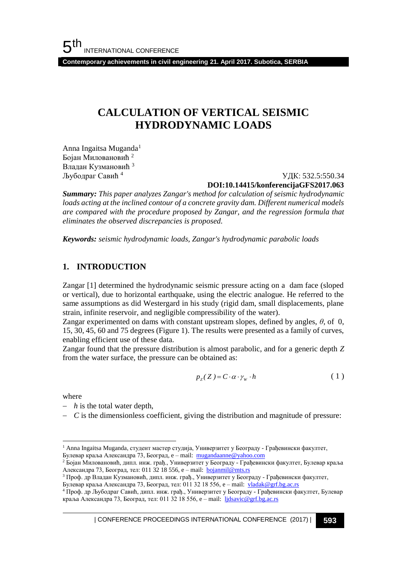**Contemporary achievements in civil engineering 21. April 2017. Subotica, SERBIA**

# **CALCULATION OF VERTICAL SEISMIC HYDRODYNAMIC LOADS**

Anna Ingaitsa Muganda<sup>1</sup> Бојан Миловановић <sup>2</sup> Владан Кузмановић <sup>3</sup> Љубодраг Савић <sup>4</sup>

 УДК: 532.5:550.34 **DOI:10.14415/konferencijaGFS2017.063**

*Summary: This paper analyzes Zangar's method for calculation of seismic hydrodynamic loads acting at the inclined contour of a concrete gravity dam. Different numerical models are compared with the procedure proposed by Zangar, and the regression formula that eliminates the observed discrepancies is proposed.*

*Keywords: seismic hydrodynamic loads, Zangar's hydrodynamic parabolic loads* 

### **1. INTRODUCTION**

Zangar [1] determined the hydrodynamic seismic pressure acting on a dam face (sloped or vertical), due to horizontal earthquake, using the electric analogue. He referred to the same assumptions as did Westergard in his study (rigid dam, small displacements, plane strain, infinite reservoir, and negligible compressibility of the water).

Zangar experimented on dams with constant upstream slopes, defined by angles, *θ*, of 0, 15, 30, 45, 60 and 75 degrees (Figure 1). The results were presented as a family of curves, enabling efficient use of these data.

Zangar found that the pressure distribution is almost parabolic, and for a generic depth *Z* from the water surface, the pressure can be obtained as:

$$
p_{z}(Z) = C \cdot \alpha \cdot \gamma_{w} \cdot h \tag{1}
$$

where

l

- *h* is the total water depth,
- $-C$  is the dimensionless coefficient, giving the distribution and magnitude of pressure:

<sup>1</sup> Anna Ingaitsa Muganda, студент мастер студија, Универзитет у Београду - Грађевински факултет, Булевар краља Александра 73, Београд, e – mail: mugandaanne@yahoo.com

<sup>2</sup> Бојан Миловановић, дипл. инж. грађ., Универзитет у Београду - Грађевински факултет, Булевар краља Александра 73, Београд, тел: 011 32 18 556, e – mail: **bojanmil@mts.rs** 

<sup>3</sup> Проф. др Владан Кузмановић, дипл. инж. грађ., Универзитет у Београду - Грађевински факултет, Булевар краља Александра 73, Београд, тел: 011 32 18 556, e - mail: vladak@grf.bg.ac.rs

<sup>4</sup> Проф. др Љубодраг Савић, дипл. инж. грађ., Универзитет у Београду - Грађевински факултет, Булевар краља Александра 73, Београд, тел: 011 32 18 556, e – mail: [ljdsavic@grf.bg.ac.rs](mailto:ljdsavic@grf.bg.ac.rs)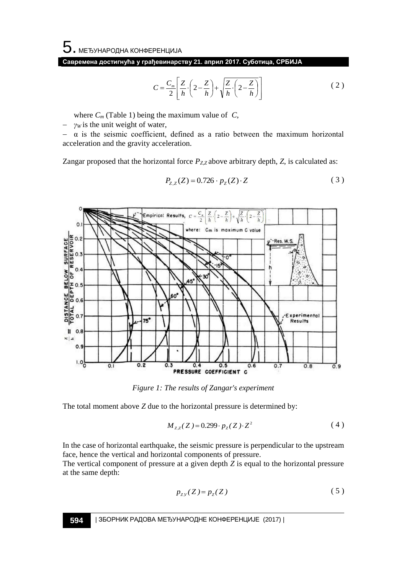**Савремена достигнућа у грађевинарству 21. април 2017. Суботица, СРБИЈА**

$$
C = \frac{C_m}{2} \left[ \frac{Z}{h} \cdot \left( 2 - \frac{Z}{h} \right) + \sqrt{\frac{Z}{h} \cdot \left( 2 - \frac{Z}{h} \right)} \right]
$$
 (2)

where  $C_m$  (Table 1) being the maximum value of  $C_n$ ,

*γ<sup>W</sup>* is the unit weight of water,

 $-\alpha$  is the seismic coefficient, defined as a ratio between the maximum horizontal acceleration and the gravity acceleration.

Zangar proposed that the horizontal force  $P_{Z,Z}$  above arbitrary depth,  $Z$ , is calculated as:

 $P_{Z,Z}(Z) = 0.726 \cdot p_Z(Z) \cdot Z$ 

$$
(\mathcal{M}_\mathcal{A},\mathcal{M}_\mathcal{A},\mathcal{M}_\mathcal{A},\mathcal{M}_\mathcal{A},\mathcal{M}_\mathcal{A},\mathcal{M}_\mathcal{A},\mathcal{M}_\mathcal{A},\mathcal{M}_\mathcal{A},\mathcal{M}_\mathcal{A},\mathcal{M}_\mathcal{A},\mathcal{M}_\mathcal{A},\mathcal{M}_\mathcal{A},\mathcal{M}_\mathcal{A},\mathcal{M}_\mathcal{A},\mathcal{M}_\mathcal{A},\mathcal{M}_\mathcal{A},\mathcal{M}_\mathcal{A},\mathcal{M}_\mathcal{A},\mathcal{M}_\mathcal{A},\mathcal{M}_\mathcal{A},\mathcal{M}_\mathcal{A},\mathcal{M}_\mathcal{A},\mathcal{M}_\mathcal{A},\mathcal{M}_\mathcal{A},\mathcal{M}_\mathcal{A},\mathcal{M}_\mathcal{A},\mathcal{M}_\mathcal{A},\mathcal{M}_\mathcal{A},\mathcal{M}_\mathcal{A},\mathcal{M}_\mathcal{A},\mathcal{M}_\mathcal{A},\mathcal{M}_\mathcal{A},\mathcal{M}_\mathcal{A},\mathcal{M}_\mathcal{A},\mathcal{M}_\mathcal{A},\mathcal{M}_\mathcal{A},\mathcal{M}_\mathcal{A},\mathcal{M}_\mathcal{A},\mathcal{M}_\mathcal{A},\mathcal{M}_\mathcal{A},\mathcal{M}_\mathcal{A},\mathcal{M}_\mathcal{A},\mathcal{M}_\mathcal{A},\mathcal{M}_\mathcal{A},\mathcal{M}_\mathcal{A},\mathcal{M}_\mathcal{A},\mathcal{M}_\mathcal{A},\mathcal{M}_\mathcal{A},\mathcal{M}_\mathcal{A},\mathcal{M}_\mathcal{A},\mathcal{M}_\mathcal{A},\mathcal{M}_\mathcal{A},\mathcal{M}_\mathcal{A},\mathcal{M}_\mathcal{A},\mathcal{M}_\mathcal{A},\mathcal{M}_\mathcal{A},\mathcal{M}_\mathcal{A},\mathcal{M}_\mathcal{A},\mathcal{M}_\mathcal{A},\mathcal{M}_\mathcal{A},\mathcal{M}_\mathcal{A},\mathcal{M}_\mathcal{A},\mathcal{M}_\mathcal{A},\mathcal
$$

( 3 )



*Figure 1: The results of Zangar's experiment*

The total moment above *Z* due to the horizontal pressure is determined by:

$$
M_{z,z}(Z) = 0.299 \cdot p_z(Z) \cdot Z^2 \tag{4}
$$

In the case of horizontal earthquake, the seismic pressure is perpendicular to the upstream face, hence the vertical and horizontal components of pressure. The vertical component of pressure at a given depth *Z* is equal to the horizontal pressure at the same depth:

$$
p_{zy}(Z) = p_Z(Z) \tag{5}
$$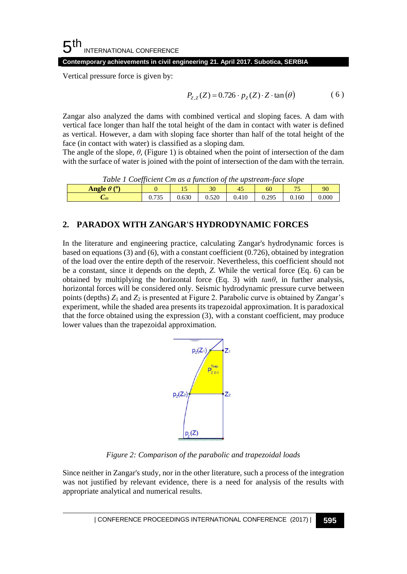#### 5 th INTERNATIONAL CONFERENCE

**Contemporary achievements in civil engineering 21. April 2017. Subotica, SERBIA**

Vertical pressure force is given by:

$$
P_{Z,Z}(Z) = 0.726 \cdot p_Z(Z) \cdot Z \cdot \tan(\theta) \tag{6}
$$

Zangar also analyzed the dams with combined vertical and sloping faces. A dam with vertical face longer than half the total height of the dam in contact with water is defined as vertical. However, a dam with sloping face shorter than half of the total height of the face (in contact with water) is classified as a sloping dam.

The angle of the slope,  $\theta$ , (Figure 1) is obtained when the point of intersection of the dam with the surface of water is joined with the point of intersection of the dam with the terrain.

| Table 1 Coefficient Cm as a function of the upstream-face slope |       |       |       |       |       |       |       |
|-----------------------------------------------------------------|-------|-------|-------|-------|-------|-------|-------|
| Angle $\theta$ ( <sup>o</sup> )                                 |       |       | 30    |       | 60    |       | 90    |
| $\mathcal{L}_{m}$                                               | 0.735 | 0.630 | 0.520 | 0.410 | 0.295 | 0.160 | 0.000 |

### **2. PARADOX WITH ZANGAR'S HYDRODYNAMIC FORCES**

In the literature and engineering practice, calculating Zangar's hydrodynamic forces is based on equations (3) and (6), with a constant coefficient (0.726), obtained by integration of the load over the entire depth of the reservoir. Nevertheless, this coefficient should not be a constant, since it depends on the depth, *Z*. While the vertical force (Eq. 6) can be obtained by multiplying the horizontal force (Eq. 3) with  $tan\theta$ , in further analysis, horizontal forces will be considered only. Seismic hydrodynamic pressure curve between points (depths) *Z*<sup>1</sup> and *Z*<sup>2</sup> is presented at Figure 2. Parabolic curve is obtained by Zangar's experiment, while the shaded area presents its trapezoidal approximation. It is paradoxical that the force obtained using the expression (3), with a constant coefficient, may produce lower values than the trapezoidal approximation.



*Figure 2: Comparison of the parabolic and trapezoidal loads*

Since neither in Zangar's study, nor in the other literature, such a process of the integration was not justified by relevant evidence, there is a need for analysis of the results with appropriate analytical and numerical results.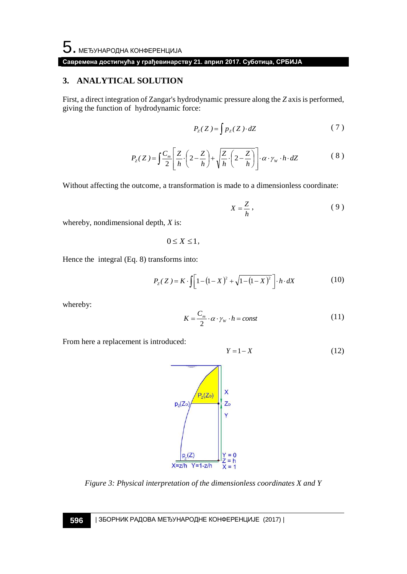### **Савремена достигнућа у грађевинарству 21. април 2017. Суботица, СРБИЈА**

### **3. ANALYTICAL SOLUTION**

First, a direct integration of Zangar's hydrodynamic pressure along the *Z* axis is performed, giving the function of hydrodynamic force:

$$
P_{Z}(Z) = \int p_{Z}(Z) \cdot dZ \tag{7}
$$

$$
P_z(Z) = \int \frac{C_m}{2} \left[ \frac{Z}{h} \cdot \left( 2 - \frac{Z}{h} \right) + \sqrt{\frac{Z}{h} \cdot \left( 2 - \frac{Z}{h} \right)} \right] \cdot \alpha \cdot \gamma_w \cdot h \cdot dZ \tag{8}
$$

Without affecting the outcome, a transformation is made to a dimensionless coordinate:

$$
X = \frac{Z}{h},\tag{9}
$$

whereby, nondimensional depth, *X* is:

$$
0\leq X\leq 1\,,
$$

Hence the integral (Eq. 8) transforms into:

$$
P_{Z}(Z) = K \cdot \int \left[1 - (1 - X)^{2} + \sqrt{1 - (1 - X)^{2}}\right] \cdot h \cdot dX \tag{10}
$$

whereby:

$$
K = \frac{C_m}{2} \cdot \alpha \cdot \gamma_w \cdot h = const \tag{11}
$$

From here a replacement is introduced:

$$
Y = 1 - X \tag{12}
$$



*Figure 3: Physical interpretation of the dimensionless coordinates X and Y*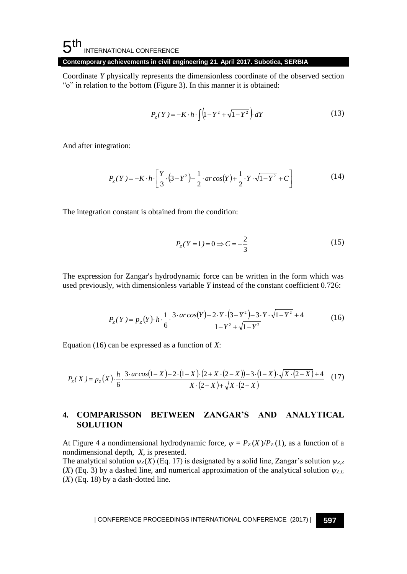## $5<sup>th</sup>$ INTERNATIONAL CONFERENCE

### **Contemporary achievements in civil engineering 21. April 2017. Subotica, SERBIA**

Coordinate *Y* physically represents the dimensionless coordinate of the observed section "o" in relation to the bottom (Figure 3). In this manner it is obtained:

$$
P_{Z}(Y) = -K \cdot h \cdot \int (1 - Y^{2} + \sqrt{1 - Y^{2}}) dY
$$
 (13)

And after integration:

$$
P_{z}(Y) = -K \cdot h \cdot \left[ \frac{Y}{3} \cdot (3 - Y^{2}) - \frac{1}{2} \cdot ar \cos(Y) + \frac{1}{2} \cdot Y \cdot \sqrt{1 - Y^{2}} + C \right]
$$
(14)

The integration constant is obtained from the condition:

$$
P_{Z}(Y=1) = 0 \Rightarrow C = -\frac{2}{3}
$$
 (15)

The expression for Zangar's hydrodynamic force can be written in the form which was used previously, with dimensionless variable *Y* instead of the constant coefficient 0.726:

$$
P_z(Y) = p_z(Y) \cdot h \cdot \frac{1}{6} \cdot \frac{3 \cdot \arccos(Y) - 2 \cdot Y \cdot (3 - Y^2) - 3 \cdot Y \cdot \sqrt{1 - Y^2} + 4}{1 - Y^2 + \sqrt{1 - Y^2}}
$$
(16)

Equation (16) can be expressed as a function of *X*:

$$
P_{Z}(X) = p_{Z}(X) \cdot \frac{h}{6} \cdot \frac{3 \cdot \arccos(1-X) - 2 \cdot (1-X) \cdot (2+X \cdot (2-X)) - 3 \cdot (1-X) \cdot \sqrt{X \cdot (2-X)} + 4}{X \cdot (2-X) + \sqrt{X \cdot (2-X)}} \tag{17}
$$

## **4. COMPARISSON BETWEEN ZANGAR'S AND ANALYTICAL SOLUTION**

At Figure 4 a nondimensional hydrodynamic force,  $\psi = P_Z(X)/P_Z(1)$ , as a function of a nondimensional depth, *X*, is presented.

The analytical solution  $\psi_Z(X)$  (Eq. 17) is designated by a solid line, Zangar's solution  $\psi_{ZZ}$  $(X)$  (Eq. 3) by a dashed line, and numerical approximation of the analytical solution  $\psi_{ZC}$  $(X)$  (Eq. 18) by a dash-dotted line.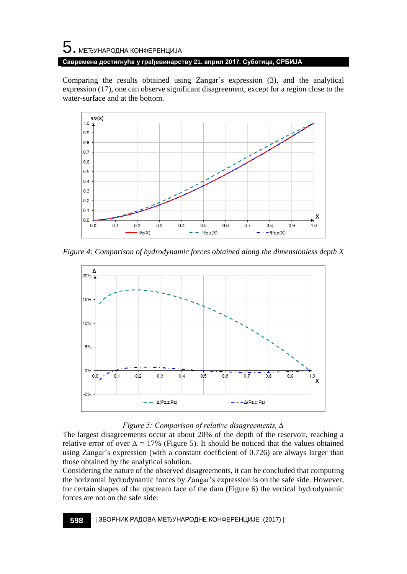# 5. МЕЂУНАРОДНА КОНФЕРЕНЦИЈА **Савремена достигнућа у грађевинарству 21. април 2017. Суботица, СРБИЈА**

Comparing the results obtained using Zangar's expression (3), and the analytical expression (17), one can observe significant disagreement, except for a region close to the water-surface and at the bottom.



*Figure 4: Comparison of hydrodynamic forces obtained along the dimensionless depth X*



### *Figure 5: Comparison of relative disagreements, ∆*

The largest disagreements occur at about 20% of the depth of the reservoir, reaching a relative error of over  $\Delta = 17\%$  (Figure 5). It should be noticed that the values obtained using Zangar's expression (with a constant coefficient of 0.726) are always larger than those obtained by the analytical solution.

Considering the nature of the observed disagreements, it can be concluded that computing the horizontal hydrodynamic forces by Zangar's expression is on the safe side. However, for certain shapes of the upstream face of the dam (Figure 6) the vertical hydrodynamic forces are not on the safe side: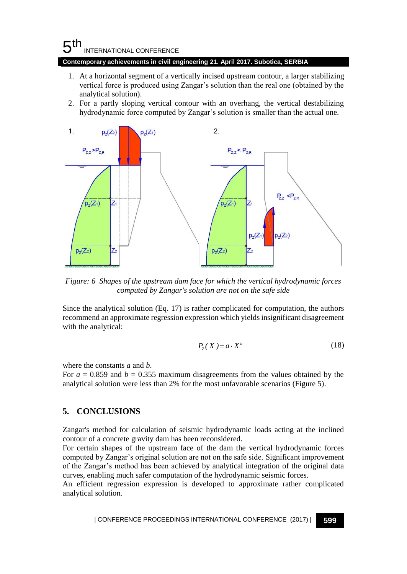# $5<sup>th</sup>$ INTERNATIONAL CONFERENCE

#### **Contemporary achievements in civil engineering 21. April 2017. Subotica, SERBIA**

- 1. At a horizontal segment of a vertically incised upstream contour, a larger stabilizing vertical force is produced using Zangar's solution than the real one (obtained by the analytical solution).
- 2. For a partly sloping vertical contour with an overhang, the vertical destabilizing hydrodynamic force computed by Zangar's solution is smaller than the actual one.



*Figure: 6 Shapes of the upstream dam face for which the vertical hydrodynamic forces computed by Zangar's solution are not on the safe side*

Since the analytical solution (Eq. 17) is rather complicated for computation, the authors recommend an approximate regression expression which yields insignificant disagreement with the analytical:

$$
P_{Z}(X) = a \cdot X^{b} \tag{18}
$$

where the constants *a* and *b*.

For  $a = 0.859$  and  $b = 0.355$  maximum disagreements from the values obtained by the analytical solution were less than 2% for the most unfavorable scenarios (Figure 5).

## **5. CONCLUSIONS**

Zangar's method for calculation of seismic hydrodynamic loads acting at the inclined contour of a concrete gravity dam has been reconsidered.

For certain shapes of the upstream face of the dam the vertical hydrodynamic forces computed by Zangar's original solution are not on the safe side. Significant improvement of the Zangar's method has been achieved by analytical integration of the original data curves, enabling much safer computation of the hydrodynamic seismic forces.

An efficient regression expression is developed to approximate rather complicated analytical solution.